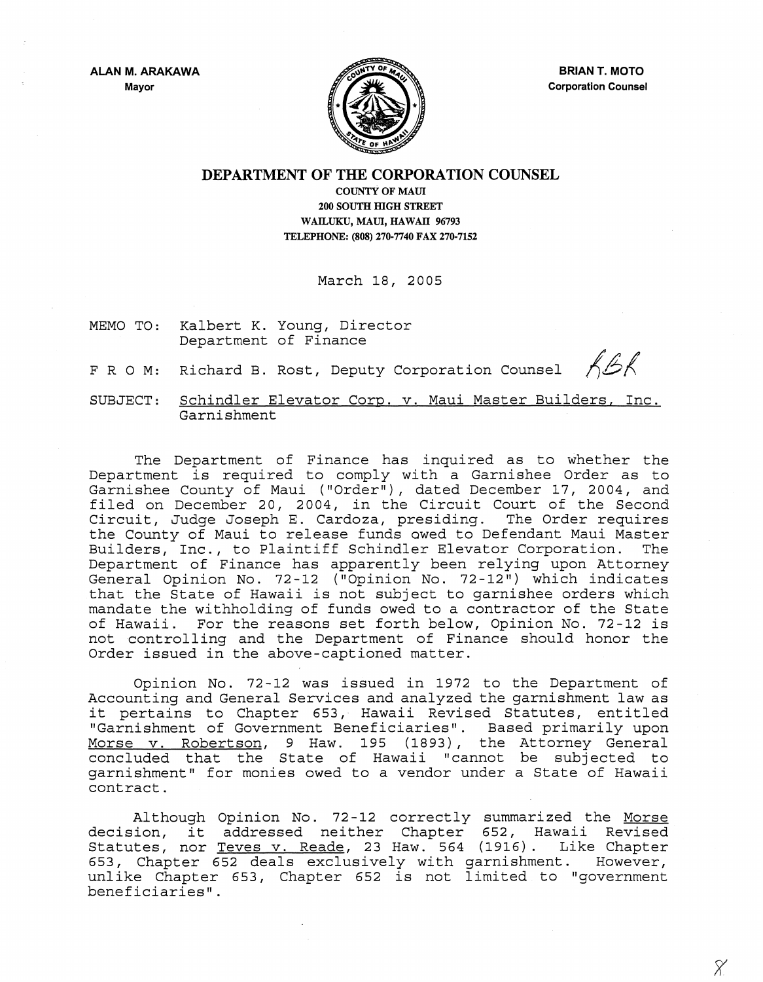ALAN M. ARAKAWA Mayor



BRIAN T. MOTO Corporation Counsel

 $\chi$ 

DEPARTMENT OF THE CORPORATION COUNSEL

COUNTY OF MAUl 200 SOUTH HIGH STREET WAILUKU, MAUI, HAWAII 96793 TELEPHONE: (808) 270·7740 FAX 270·7152

March 18, 2005

- MEMO TO: Kalbert K. Young, Director Department of Finance
- RBR FRO M: Richard B. Rost, Deputy Corporation Counsel

SUBJECT: Schindler Elevator Corp. v. Maui Master Builders, Inc. Garnishment

The Department of Finance has inquired as to whether the Department is required to comply with a Garnishee Order as to Garnishee County of Maui ("Order"), dated December 17, 2004, and diffiled on December 20, 2004, in the Circuit Court of the Second Circuit, Judge Joseph E. Cardoza, presiding. The Order requires the County of Maui to release funds awed to Defendant Maui Master Builders, Inc., to Plaintiff Schindler Elevator Corporation. Department of Finance has apparently been relying upon Attorney General Opinion No. 72-12 ("Opinion No. 72-12") which indicates that the State of Hawaii is not subject to garnishee orders which mandate the withholding of funds owed to a contractor of the State of Hawaii. For the reasons set forth below, Opinion No. 72-12 is not controlling and the Department of Finance should honor the Order issued in the above-captioned matter.

Opinion No. 72-12 was issued in 1972 to the Department of Accounting and General Services and analyzed the garnishment law as it pertains to Chapter 653, Hawaii Revised Statutes, entitled "Garnishment of Government Beneficiaries". Based primarily upon Morse v. Robertson, 9 Haw. 195 (1893), the Attorney General where it is not that the state of Hawaii "cannot be subjected to garnishment" for monies owed to a vendor under a State of Hawaii contract.

Although Opinion No. 72-12 correctly summarized the Morse decision, it addressed neither Chapter 652, Hawaii Revised Statutes, nor Teves v. Reade, 23 Haw. 564 (1916). Like Chapter 653, Chapter 652 deals exclusively with garnishment. However, unlike Chapter 653, Chapter 652 is not limited to "government beneficiaries".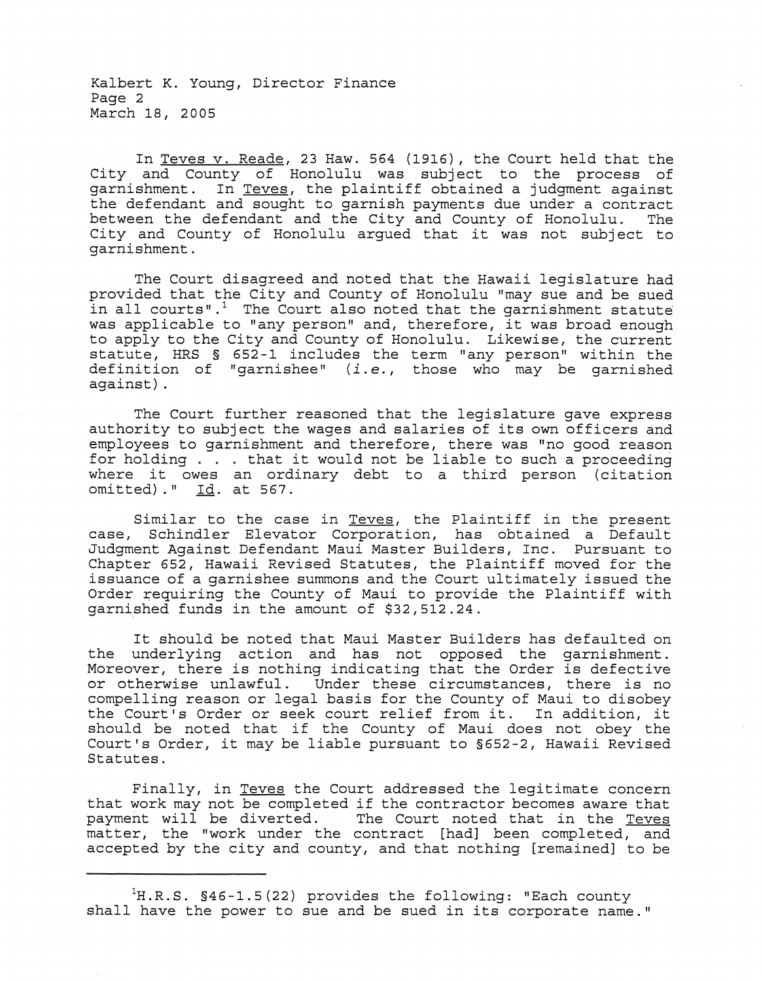Kalbert K. Young, Director Finance Page 2 March 18, 2005

In Teves v. Reade, 23 Haw. 564 (1916), the Court held that the City and County of Honolulu was subject to the process of garnishment. In Teves, the plaintiff obtained a judgment against examples and sought to garnish payments due under a contract<br>the defendant and sought to garnish payments due under a contract<br>between the defendant and the City and County of Honolulu. The between the defendant and the City and County of Honolulu. City and County of Honolulu argued that it was not subject to garnishment.

The Court disagreed and noted that the Hawaii legislature had provided that the City and County of Honolulu "may sue and be sued in all courts".<sup>1</sup> The Court also noted that the garnishment statute was applicable to "any person" and, therefore, it was broad enough to apply to the City and County of Honolulu. Likewise, the current statute, HRS § 652-1 includes the term "any person" within the definition of "garnishee" *(i.* e., those who may be garnished against) .

The Court further reasoned that the legislature gave express authority to subject the wages and salaries of its own officers and employees to garnishment and therefore, there was "no good reason for holding . . . that it would not be liable to such a proceeding where it owes an ordinary debt to a third person (citation omitted)." Id. at 567.

Similar to the case in Teves, the Plaintiff in the present case, Schindler Elevator Corporation, has obtained a Default Judgment Against Defendant Maui Master Builders, Inc. Pursuant to Chapter 652, Hawaii Revised Statutes, the Plaintiff moved for the issuance of a garnishee summons and the Court ultimately issued the Order requiring the County of Maui to provide the Plaintiff with garnished funds in the amount of \$32,512.24.

It should be noted that Maui Master Builders has defaulted on the underlying action and has not opposed the garnishment. Moreover, there is nothing indicating that the Order is defective<br>or otherwise unlawful. Under these circumstances, there is no Under these circumstances, there is no compelling reason or legal basis for the County of Maui to disobey the Court's Order or seek court relief from it. In addition, it should be noted that if the County of Maui does not obey the Court's Order, it may be liable pursuant to §652-2, Hawaii Revised Statutes.

Finally, in Teves the Court addressed the legitimate concern that work may not be completed if the contractor becomes aware that<br>payment will be diverted. The Court noted that in the Teves The Court noted that in the Teves matter, the "work under the contract [had] been completed, and accepted by the city and county, and that nothing [remained] to be

 $H.R.S. S46-1.5(22)$  provides the following: "Each county shall have the power to sue and be sued in its corporate name."